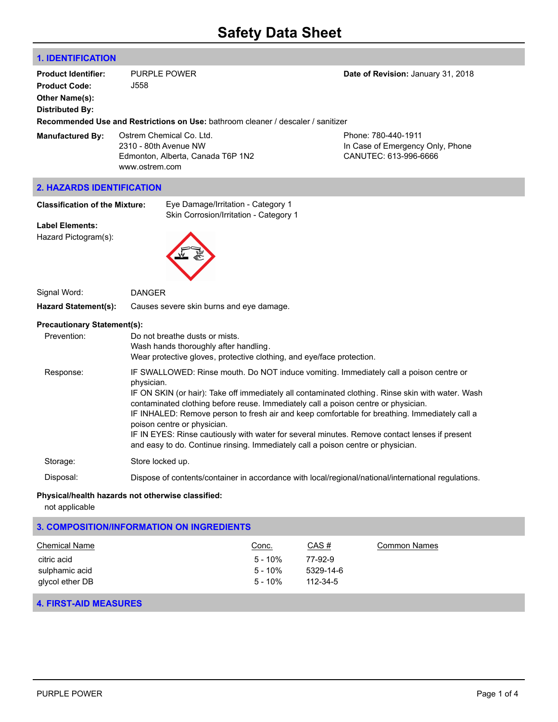# **1. IDENTIFICATION**

| <b>Product Identifier:</b><br><b>Product Code:</b><br>Other Name(s):<br>Distributed By: | <b>PURPLE POWER</b><br>J558<br><b>Recommended Use and Restrictions on Use:</b> bathroom cleaner / descaler / sanitizer | Date of Revision: January 31, 2018                                               |
|-----------------------------------------------------------------------------------------|------------------------------------------------------------------------------------------------------------------------|----------------------------------------------------------------------------------|
| <b>Manufactured By:</b>                                                                 | Ostrem Chemical Co. Ltd.<br>2310 - 80th Avenue NW<br>Edmonton, Alberta, Canada T6P 1N2<br>www.ostrem.com               | Phone: 780-440-1911<br>In Case of Emergency Only, Phone<br>CANUTEC: 613-996-6666 |
| <b>2. HAZARDS IDENTIFICATION</b>                                                        |                                                                                                                        |                                                                                  |
| <b>Classification of the Mixture:</b><br><b>Label Elements:</b><br>Hazard Pictogram(s): | Eye Damage/Irritation - Category 1<br>Skin Corrosion/Irritation - Category 1                                           |                                                                                  |
| Signal Word:                                                                            | <b>DANGER</b>                                                                                                          |                                                                                  |

**Hazard Statement(s):** Causes severe skin burns and eye damage.

#### **Precautionary Statement(s):**

| Prevention: | Do not breathe dusts or mists.<br>Wash hands thoroughly after handling.<br>Wear protective gloves, protective clothing, and eye/face protection.                                                                                                                                                                                                                                                                                                                                                                                                                                                                     |
|-------------|----------------------------------------------------------------------------------------------------------------------------------------------------------------------------------------------------------------------------------------------------------------------------------------------------------------------------------------------------------------------------------------------------------------------------------------------------------------------------------------------------------------------------------------------------------------------------------------------------------------------|
| Response:   | IF SWALLOWED: Rinse mouth. Do NOT induce vomiting. Immediately call a poison centre or<br>physician.<br>IF ON SKIN (or hair): Take off immediately all contaminated clothing. Rinse skin with water. Wash<br>contaminated clothing before reuse. Immediately call a poison centre or physician.<br>IF INHALED: Remove person to fresh air and keep comfortable for breathing. Immediately call a<br>poison centre or physician.<br>IF IN EYES: Rinse cautiously with water for several minutes. Remove contact lenses if present<br>and easy to do. Continue rinsing. Immediately call a poison centre or physician. |
| Storage:    | Store locked up.                                                                                                                                                                                                                                                                                                                                                                                                                                                                                                                                                                                                     |
| Disposal:   | Dispose of contents/container in accordance with local/regional/national/international regulations.                                                                                                                                                                                                                                                                                                                                                                                                                                                                                                                  |

# **Physical/health hazards not otherwise classified:**

not applicable

# **3. COMPOSITION/INFORMATION ON INGREDIENTS**

| Chemical Name   | Conc.   | CAS #          | <b>Common Names</b> |
|-----------------|---------|----------------|---------------------|
| citric acid     | 5 - 10% | 77-92-9        |                     |
| sulphamic acid  | 5 - 10% | 5329-14-6      |                     |
| glycol ether DB | 5 - 10% | $112 - 34 - 5$ |                     |

# **4. FIRST-AID MEASURES**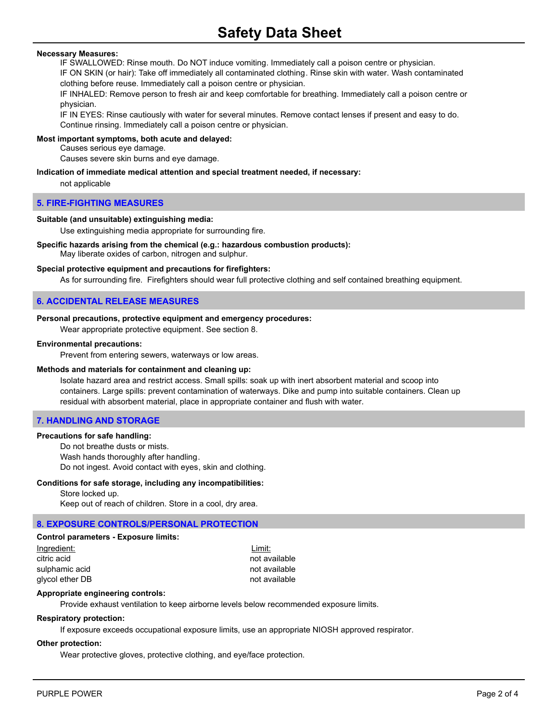## **Necessary Measures:**

IF SWALLOWED: Rinse mouth. Do NOT induce vomiting. Immediately call a poison centre or physician.

IF ON SKIN (or hair): Take off immediately all contaminated clothing. Rinse skin with water. Wash contaminated clothing before reuse. Immediately call a poison centre or physician.

IF INHALED: Remove person to fresh air and keep comfortable for breathing. Immediately call a poison centre or physician.

IF IN EYES: Rinse cautiously with water for several minutes. Remove contact lenses if present and easy to do. Continue rinsing. Immediately call a poison centre or physician.

#### **Most important symptoms, both acute and delayed:**

Causes serious eye damage.

Causes severe skin burns and eye damage.

#### **Indication of immediate medical attention and special treatment needed, if necessary:**

not applicable

#### **5. FIRE-FIGHTING MEASURES**

#### **Suitable (and unsuitable) extinguishing media:**

Use extinguishing media appropriate for surrounding fire.

#### **Specific hazards arising from the chemical (e.g.: hazardous combustion products):** May liberate oxides of carbon, nitrogen and sulphur.

# **Special protective equipment and precautions for firefighters:**

As for surrounding fire. Firefighters should wear full protective clothing and self contained breathing equipment.

# **6. ACCIDENTAL RELEASE MEASURES**

#### **Personal precautions, protective equipment and emergency procedures:**

Wear appropriate protective equipment. See section 8.

#### **Environmental precautions:**

Prevent from entering sewers, waterways or low areas.

#### **Methods and materials for containment and cleaning up:**

Isolate hazard area and restrict access. Small spills: soak up with inert absorbent material and scoop into containers. Large spills: prevent contamination of waterways. Dike and pump into suitable containers. Clean up residual with absorbent material, place in appropriate container and flush with water.

#### **7. HANDLING AND STORAGE**

#### **Precautions for safe handling:**

Do not breathe dusts or mists. Wash hands thoroughly after handling. Do not ingest. Avoid contact with eyes, skin and clothing.

## **Conditions for safe storage, including any incompatibilities:**

#### Store locked up.

Keep out of reach of children. Store in a cool, dry area.

# **8. EXPOSURE CONTROLS/PERSONAL PROTECTION**

# **Control parameters - Exposure limits:**

Ingredient: Limit: citric acid not available sulphamic acid not available glycol ether DB not available

#### **Appropriate engineering controls:**

Provide exhaust ventilation to keep airborne levels below recommended exposure limits.

#### **Respiratory protection:**

If exposure exceeds occupational exposure limits, use an appropriate NIOSH approved respirator.

#### **Other protection:**

Wear protective gloves, protective clothing, and eye/face protection.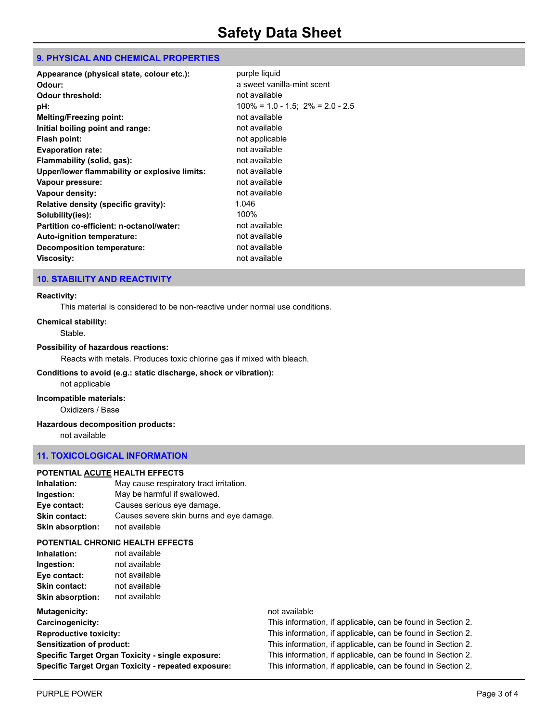# **9. PHYSICAL AND CHEMICAL PROPERTIES**

| $100\% = 1.0 - 1.5$ ; $2\% = 2.0 - 2.5$ |
|-----------------------------------------|
|                                         |
|                                         |
|                                         |
|                                         |
|                                         |
|                                         |
|                                         |
|                                         |
|                                         |
|                                         |
|                                         |
|                                         |
|                                         |
|                                         |
|                                         |

# **10. STABILITY AND REACTIVITY**

#### **Reactivity:**

This material is considered to be non-reactive under normal use conditions.

#### **Chemical stability:**

Stable.

# **Possibility of hazardous reactions:**

Reacts with metals. Produces toxic chlorine gas if mixed with bleach.

#### **Conditions to avoid (e.g.: static discharge, shock or vibration):**

not applicable

# **Incompatible materials:**

Oxidizers / Base

#### **Hazardous decomposition products:**

not available

#### **11. TOXICOLOGICAL INFORMATION**

#### **POTENTIAL ACUTE HEALTH EFFECTS**

| Inhalation:             | May cause respiratory tract irritation.  |
|-------------------------|------------------------------------------|
| Ingestion:              | May be harmful if swallowed.             |
| Eye contact:            | Causes serious eye damage.               |
| <b>Skin contact:</b>    | Causes severe skin burns and eye damage. |
| <b>Skin absorption:</b> | not available                            |

#### **POTENTIAL CHRONIC HEALTH EFFECTS**

| Inhalation:             | not available |
|-------------------------|---------------|
| Ingestion:              | not available |
| Eye contact:            | not available |
| <b>Skin contact:</b>    | not available |
| <b>Skin absorption:</b> | not available |

| <b>Mutagenicity:</b>                                |
|-----------------------------------------------------|
| Carcinogenicity:                                    |
| <b>Reproductive toxicity:</b>                       |
| Sensitization of product:                           |
| Specific Target Organ Toxicity - single exposure:   |
| Specific Target Organ Toxicity - repeated exposure: |

# **Mutagenicity:** not available

**Carcinogenicity:** This information, if applicable, can be found in Section 2. This information, if applicable, can be found in Section 2. This information, if applicable, can be found in Section 2. This information, if applicable, can be found in Section 2. This information, if applicable, can be found in Section 2.